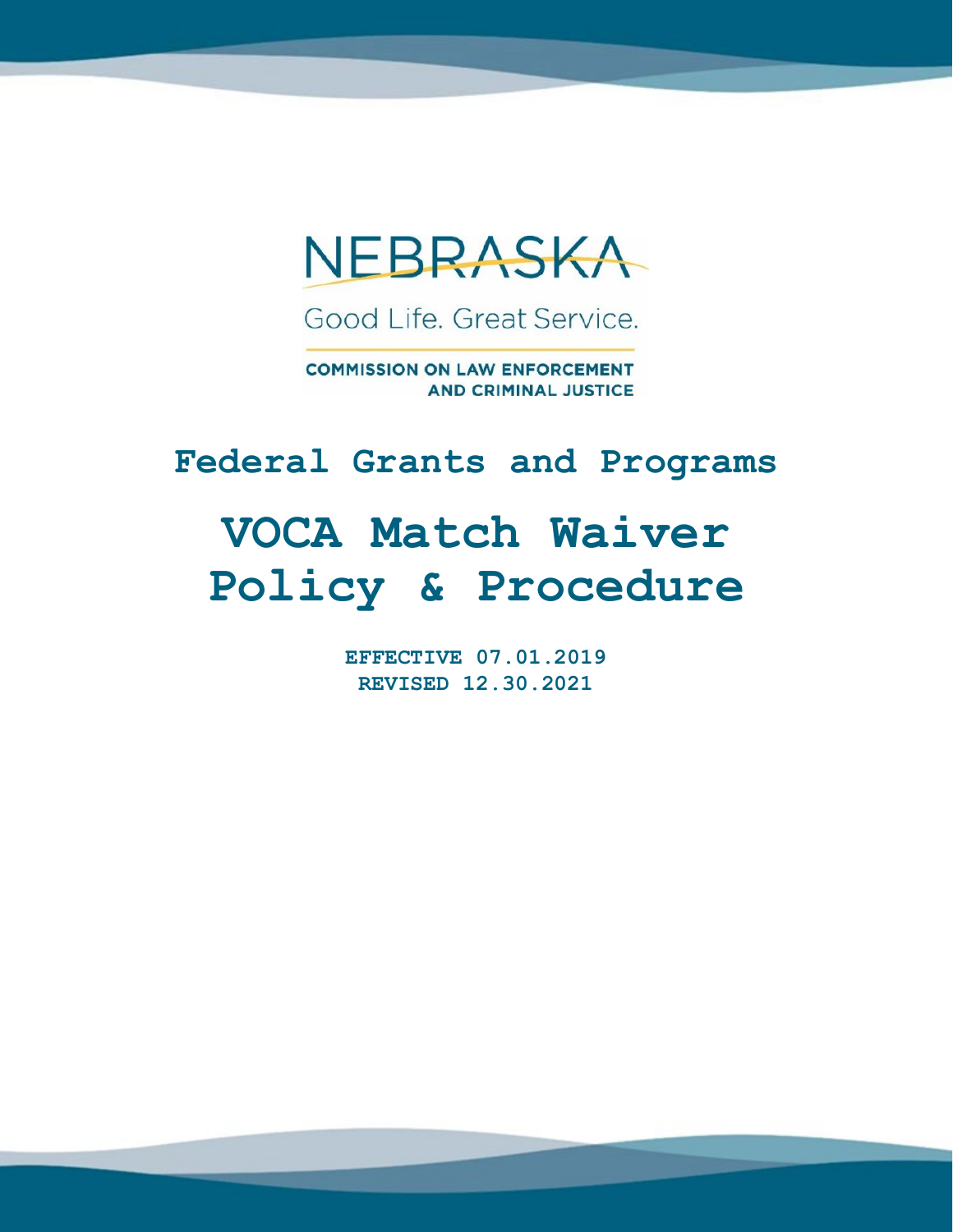

Good Life, Great Service.

**COMMISSION ON LAW ENFORCEMENT AND CRIMINAL JUSTICE** 

# **Federal Grants and Programs**

# **VOCA Match Waiver Policy & Procedure**

**EFFECTIVE 07.01.2019 REVISED 12.30.2021**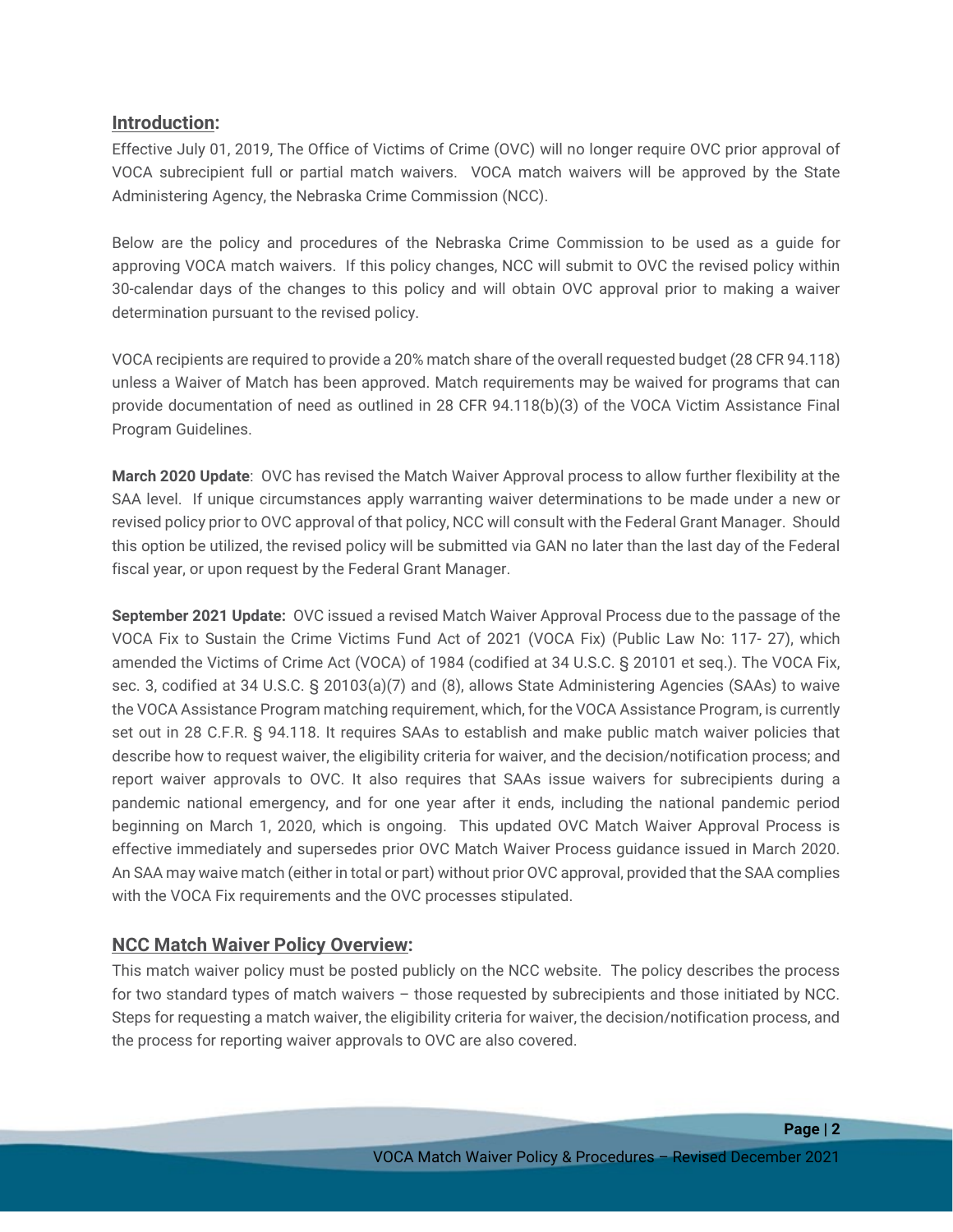## **Introduction:**

Effective July 01, 2019, The Office of Victims of Crime (OVC) will no longer require OVC prior approval of VOCA subrecipient full or partial match waivers. VOCA match waivers will be approved by the State Administering Agency, the Nebraska Crime Commission (NCC).

Below are the policy and procedures of the Nebraska Crime Commission to be used as a guide for approving VOCA match waivers. If this policy changes, NCC will submit to OVC the revised policy within 30-calendar days of the changes to this policy and will obtain OVC approval prior to making a waiver determination pursuant to the revised policy.

VOCA recipients are required to provide a 20% match share of the overall requested budget (28 CFR 94.118) unless a Waiver of Match has been approved. Match requirements may be waived for programs that can provide documentation of need as outlined in 28 CFR 94.118(b)(3) of the VOCA Victim Assistance Final Program Guidelines.

**March 2020 Update**: OVC has revised the Match Waiver Approval process to allow further flexibility at the SAA level. If unique circumstances apply warranting waiver determinations to be made under a new or revised policy prior to OVC approval of that policy, NCC will consult with the Federal Grant Manager. Should this option be utilized, the revised policy will be submitted via GAN no later than the last day of the Federal fiscal year, or upon request by the Federal Grant Manager.

**September 2021 Update:** OVC issued a revised Match Waiver Approval Process due to the passage of the VOCA Fix to Sustain the Crime Victims Fund Act of 2021 (VOCA Fix) (Public Law No: 117- 27), which amended the Victims of Crime Act (VOCA) of 1984 (codified at 34 U.S.C. § 20101 et seq.). The VOCA Fix, sec. 3, codified at 34 U.S.C. § 20103(a)(7) and (8), allows State Administering Agencies (SAAs) to waive the VOCA Assistance Program matching requirement, which, for the VOCA Assistance Program, is currently set out in 28 C.F.R. § 94.118. It requires SAAs to establish and make public match waiver policies that describe how to request waiver, the eligibility criteria for waiver, and the decision/notification process; and report waiver approvals to OVC. It also requires that SAAs issue waivers for subrecipients during a pandemic national emergency, and for one year after it ends, including the national pandemic period beginning on March 1, 2020, which is ongoing. This updated OVC Match Waiver Approval Process is effective immediately and supersedes prior OVC Match Waiver Process guidance issued in March 2020. An SAA may waive match (either in total or part) without prior OVC approval, provided that the SAA complies with the VOCA Fix requirements and the OVC processes stipulated.

# **NCC Match Waiver Policy Overview:**

This match waiver policy must be posted publicly on the NCC website. The policy describes the process for two standard types of match waivers – those requested by subrecipients and those initiated by NCC. Steps for requesting a match waiver, the eligibility criteria for waiver, the decision/notification process, and the process for reporting waiver approvals to OVC are also covered.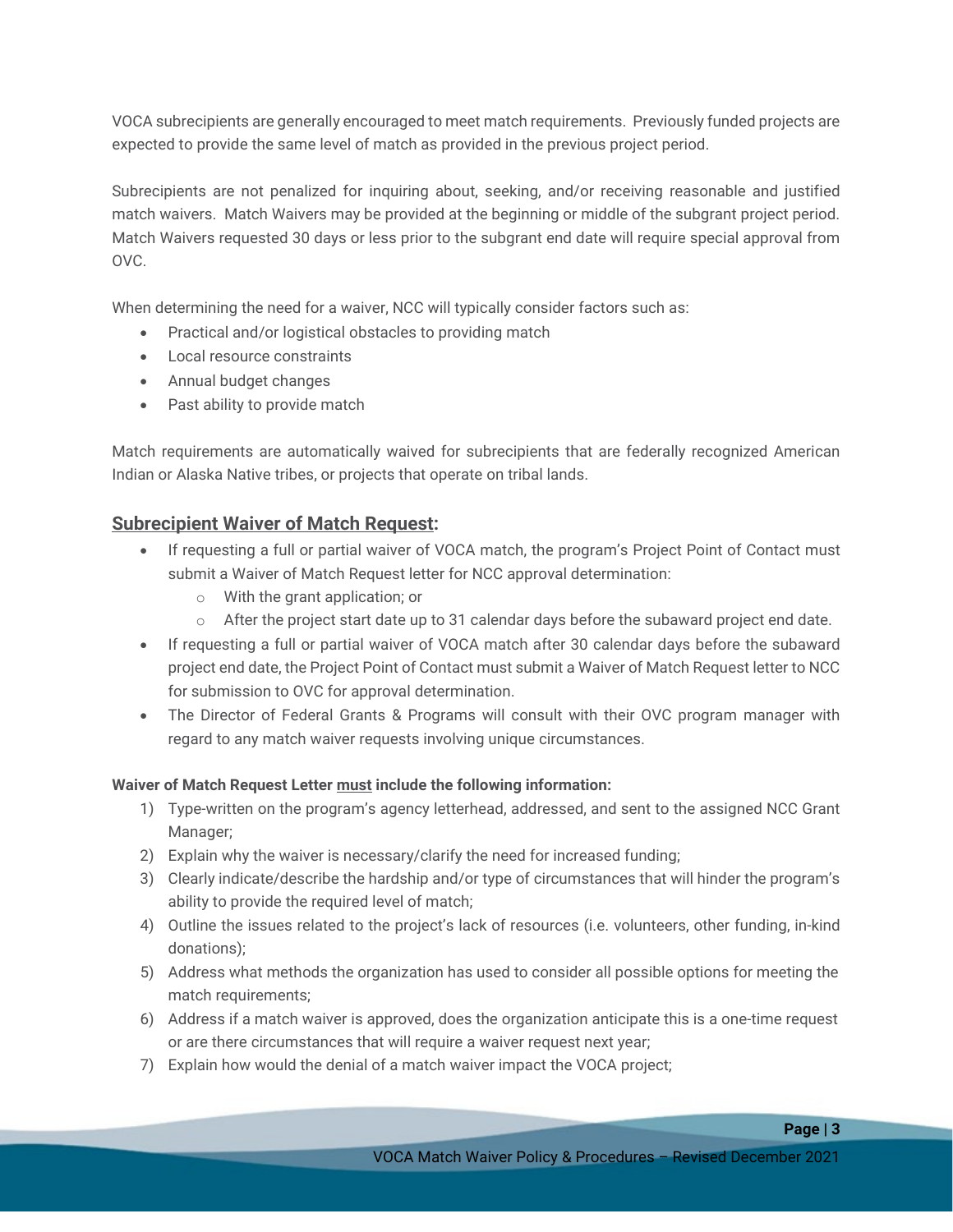VOCA subrecipients are generally encouraged to meet match requirements. Previously funded projects are expected to provide the same level of match as provided in the previous project period.

Subrecipients are not penalized for inquiring about, seeking, and/or receiving reasonable and justified match waivers. Match Waivers may be provided at the beginning or middle of the subgrant project period. Match Waivers requested 30 days or less prior to the subgrant end date will require special approval from OVC.

When determining the need for a waiver, NCC will typically consider factors such as:

- Practical and/or logistical obstacles to providing match
- Local resource constraints
- Annual budget changes
- Past ability to provide match

Match requirements are automatically waived for subrecipients that are federally recognized American Indian or Alaska Native tribes, or projects that operate on tribal lands.

## **Subrecipient Waiver of Match Request:**

- If requesting a full or partial waiver of VOCA match, the program's Project Point of Contact must submit a Waiver of Match Request letter for NCC approval determination:
	- o With the grant application; or
	- $\circ$  After the project start date up to 31 calendar days before the subaward project end date.
- If requesting a full or partial waiver of VOCA match after 30 calendar days before the subaward project end date, the Project Point of Contact must submit a Waiver of Match Request letter to NCC for submission to OVC for approval determination.
- The Director of Federal Grants & Programs will consult with their OVC program manager with regard to any match waiver requests involving unique circumstances.

#### **Waiver of Match Request Letter must include the following information:**

- 1) Type-written on the program's agency letterhead, addressed, and sent to the assigned NCC Grant Manager;
- 2) Explain why the waiver is necessary/clarify the need for increased funding;
- 3) Clearly indicate/describe the hardship and/or type of circumstances that will hinder the program's ability to provide the required level of match;
- 4) Outline the issues related to the project's lack of resources (i.e. volunteers, other funding, in-kind donations);
- 5) Address what methods the organization has used to consider all possible options for meeting the match requirements;
- 6) Address if a match waiver is approved, does the organization anticipate this is a one-time request or are there circumstances that will require a waiver request next year;
- 7) Explain how would the denial of a match waiver impact the VOCA project;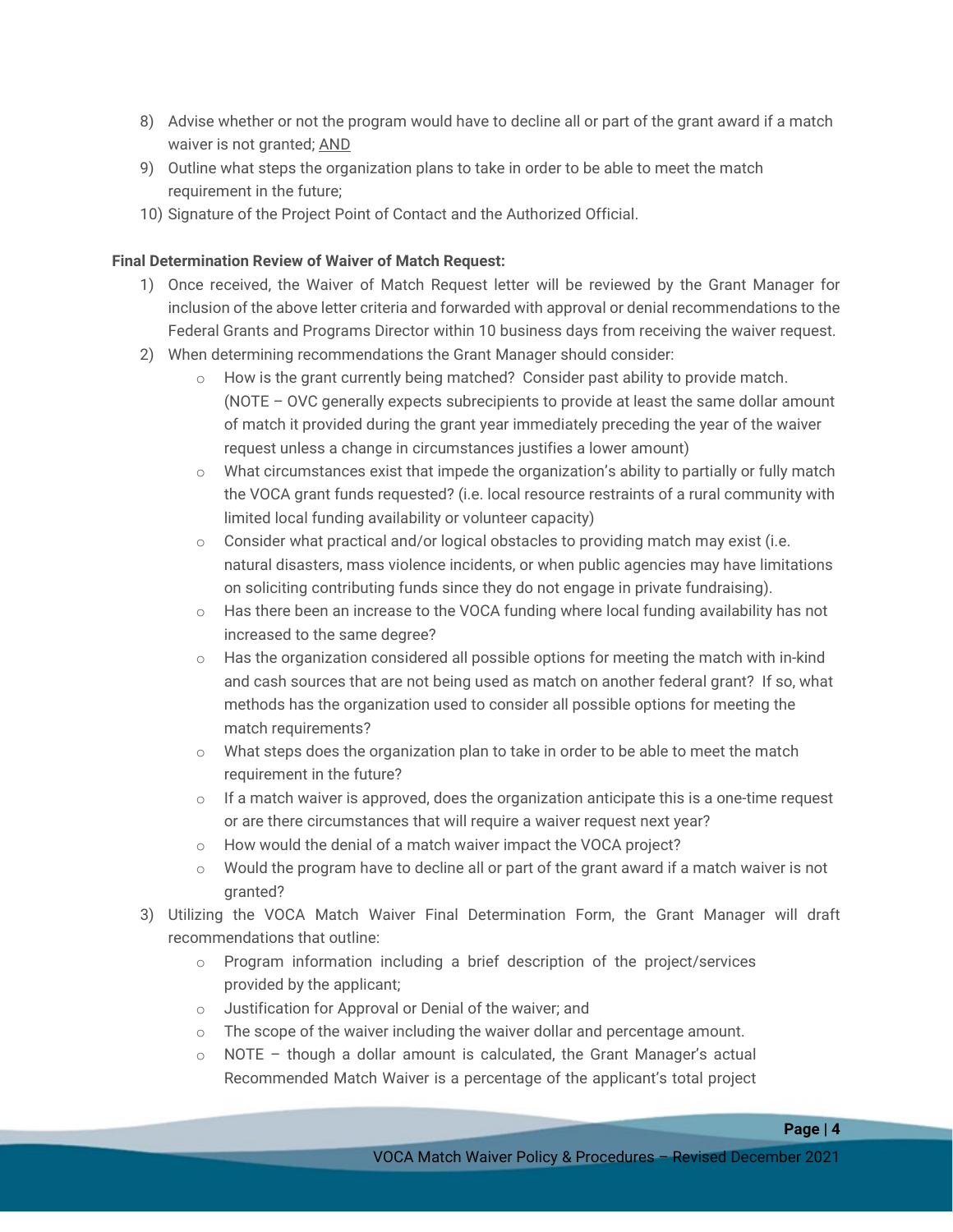- 8) Advise whether or not the program would have to decline all or part of the grant award if a match waiver is not granted; AND
- 9) Outline what steps the organization plans to take in order to be able to meet the match requirement in the future;
- 10) Signature of the Project Point of Contact and the Authorized Official.

#### **Final Determination Review of Waiver of Match Request:**

- 1) Once received, the Waiver of Match Request letter will be reviewed by the Grant Manager for inclusion of the above letter criteria and forwarded with approval or denial recommendations to the Federal Grants and Programs Director within 10 business days from receiving the waiver request.
- 2) When determining recommendations the Grant Manager should consider:
	- $\circ$  How is the grant currently being matched? Consider past ability to provide match. (NOTE – OVC generally expects subrecipients to provide at least the same dollar amount of match it provided during the grant year immediately preceding the year of the waiver request unless a change in circumstances justifies a lower amount)
	- $\circ$  What circumstances exist that impede the organization's ability to partially or fully match the VOCA grant funds requested? (i.e. local resource restraints of a rural community with limited local funding availability or volunteer capacity)
	- $\circ$  Consider what practical and/or logical obstacles to providing match may exist (i.e. natural disasters, mass violence incidents, or when public agencies may have limitations on soliciting contributing funds since they do not engage in private fundraising).
	- $\circ$  Has there been an increase to the VOCA funding where local funding availability has not increased to the same degree?
	- $\circ$  Has the organization considered all possible options for meeting the match with in-kind and cash sources that are not being used as match on another federal grant? If so, what methods has the organization used to consider all possible options for meeting the match requirements?
	- o What steps does the organization plan to take in order to be able to meet the match requirement in the future?
	- $\circ$  If a match waiver is approved, does the organization anticipate this is a one-time request or are there circumstances that will require a waiver request next year?
	- o How would the denial of a match waiver impact the VOCA project?
	- $\circ$  Would the program have to decline all or part of the grant award if a match waiver is not granted?
- 3) Utilizing the VOCA Match Waiver Final Determination Form, the Grant Manager will draft recommendations that outline:
	- $\circ$  Program information including a brief description of the project/services provided by the applicant;
	- o Justification for Approval or Denial of the waiver; and
	- $\circ$  The scope of the waiver including the waiver dollar and percentage amount.
	- $\circ$  NOTE though a dollar amount is calculated, the Grant Manager's actual Recommended Match Waiver is a percentage of the applicant's total project

**Page | 4**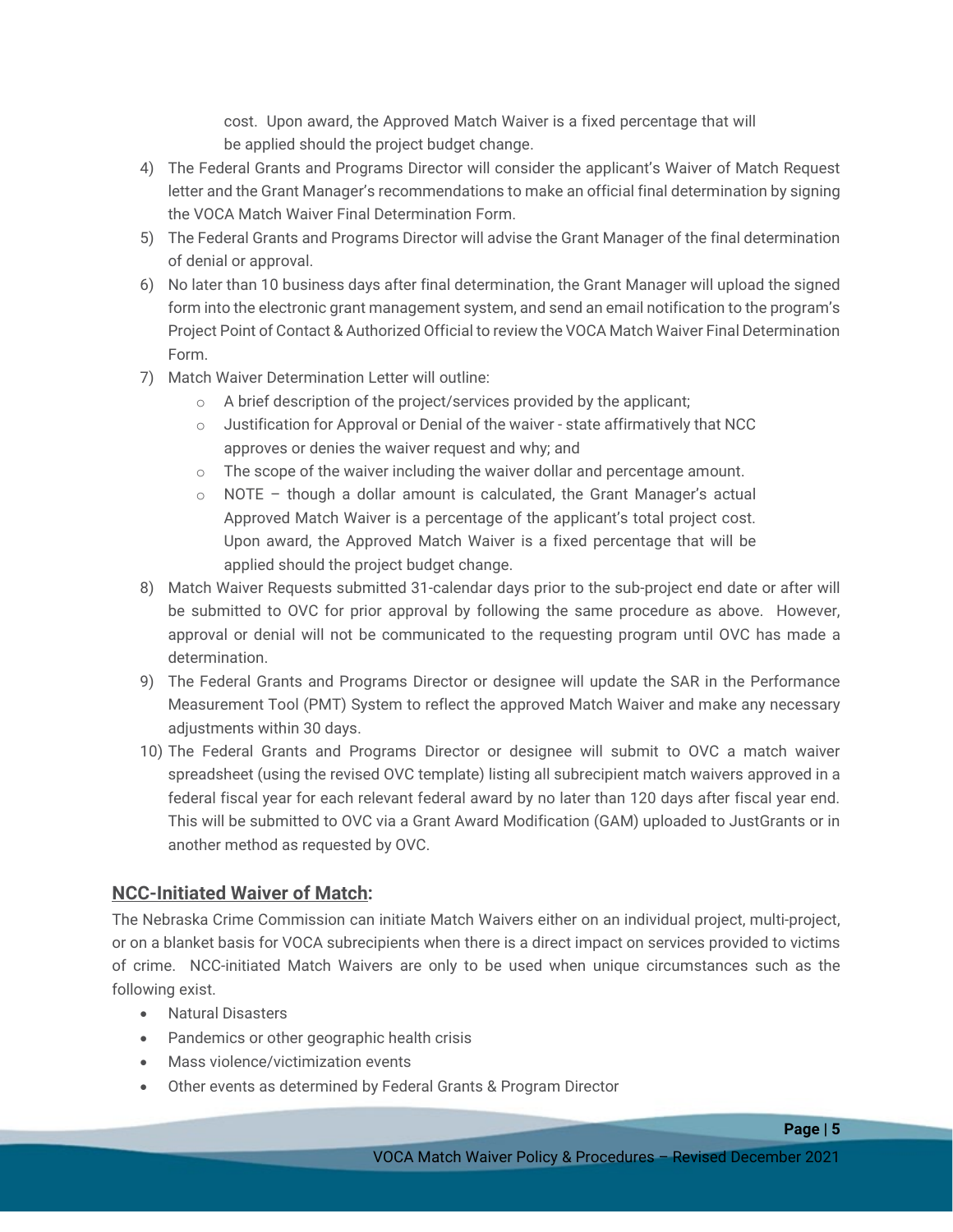cost. Upon award, the Approved Match Waiver is a fixed percentage that will be applied should the project budget change.

- 4) The Federal Grants and Programs Director will consider the applicant's Waiver of Match Request letter and the Grant Manager's recommendations to make an official final determination by signing the VOCA Match Waiver Final Determination Form.
- 5) The Federal Grants and Programs Director will advise the Grant Manager of the final determination of denial or approval.
- 6) No later than 10 business days after final determination, the Grant Manager will upload the signed form into the electronic grant management system, and send an email notification to the program's Project Point of Contact & Authorized Official to review the VOCA Match Waiver Final Determination Form.
- 7) Match Waiver Determination Letter will outline:
	- o A brief description of the project/services provided by the applicant;
	- $\circ$  Justification for Approval or Denial of the waiver state affirmatively that NCC approves or denies the waiver request and why; and
	- $\circ$  The scope of the waiver including the waiver dollar and percentage amount.
	- $\circ$  NOTE though a dollar amount is calculated, the Grant Manager's actual Approved Match Waiver is a percentage of the applicant's total project cost. Upon award, the Approved Match Waiver is a fixed percentage that will be applied should the project budget change.
- 8) Match Waiver Requests submitted 31-calendar days prior to the sub-project end date or after will be submitted to OVC for prior approval by following the same procedure as above. However, approval or denial will not be communicated to the requesting program until OVC has made a determination.
- 9) The Federal Grants and Programs Director or designee will update the SAR in the Performance Measurement Tool (PMT) System to reflect the approved Match Waiver and make any necessary adjustments within 30 days.
- 10) The Federal Grants and Programs Director or designee will submit to OVC a match waiver spreadsheet (using the revised OVC template) listing all subrecipient match waivers approved in a federal fiscal year for each relevant federal award by no later than 120 days after fiscal year end. This will be submitted to OVC via a Grant Award Modification (GAM) uploaded to JustGrants or in another method as requested by OVC.

# **NCC-Initiated Waiver of Match:**

The Nebraska Crime Commission can initiate Match Waivers either on an individual project, multi-project, or on a blanket basis for VOCA subrecipients when there is a direct impact on services provided to victims of crime. NCC-initiated Match Waivers are only to be used when unique circumstances such as the following exist.

- Natural Disasters
- Pandemics or other geographic health crisis
- Mass violence/victimization events
- Other events as determined by Federal Grants & Program Director

**Page | 5**